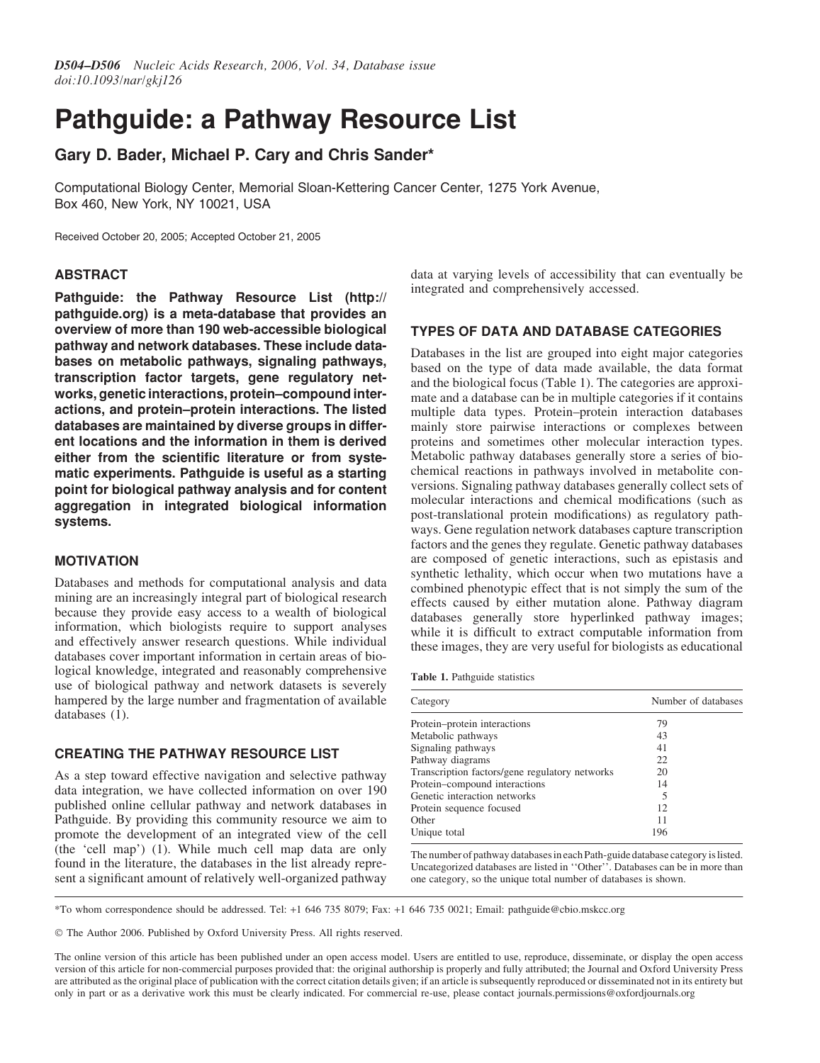# Pathguide: a Pathway Resource List

# Gary D. Bader, Michael P. Cary and Chris Sander\*

Computational Biology Center, Memorial Sloan-Kettering Cancer Center, 1275 York Avenue, Box 460, New York, NY 10021, USA

Received October 20, 2005; Accepted October 21, 2005

### ABSTRACT

Pathguide: the Pathway Resource List (http:// pathguide.org) is a meta-database that provides an overview of more than 190 web-accessible biological pathway and network databases. These include databases on metabolic pathways, signaling pathways, transcription factor targets, gene regulatory networks, genetic interactions, protein–compound interactions, and protein–protein interactions. The listed databases are maintained by diverse groups in different locations and the information in them is derived either from the scientific literature or from systematic experiments. Pathguide is useful as a starting point for biological pathway analysis and for content aggregation in integrated biological information systems.

# MOTIVATION

Databases and methods for computational analysis and data mining are an increasingly integral part of biological research because they provide easy access to a wealth of biological information, which biologists require to support analyses and effectively answer research questions. While individual databases cover important information in certain areas of biological knowledge, integrated and reasonably comprehensive use of biological pathway and network datasets is severely hampered by the large number and fragmentation of available databases (1).

# CREATING THE PATHWAY RESOURCE LIST

As a step toward effective navigation and selective pathway data integration, we have collected information on over 190 published online cellular pathway and network databases in Pathguide. By providing this community resource we aim to promote the development of an integrated view of the cell (the 'cell map') (1). While much cell map data are only found in the literature, the databases in the list already represent a significant amount of relatively well-organized pathway

data at varying levels of accessibility that can eventually be integrated and comprehensively accessed.

# TYPES OF DATA AND DATABASE CATEGORIES

Databases in the list are grouped into eight major categories based on the type of data made available, the data format and the biological focus (Table 1). The categories are approximate and a database can be in multiple categories if it contains multiple data types. Protein–protein interaction databases mainly store pairwise interactions or complexes between proteins and sometimes other molecular interaction types. Metabolic pathway databases generally store a series of biochemical reactions in pathways involved in metabolite conversions. Signaling pathway databases generally collect sets of molecular interactions and chemical modifications (such as post-translational protein modifications) as regulatory pathways. Gene regulation network databases capture transcription factors and the genes they regulate. Genetic pathway databases are composed of genetic interactions, such as epistasis and synthetic lethality, which occur when two mutations have a combined phenotypic effect that is not simply the sum of the effects caused by either mutation alone. Pathway diagram databases generally store hyperlinked pathway images; while it is difficult to extract computable information from these images, they are very useful for biologists as educational

|  |  | Table 1. Pathguide statistics |  |
|--|--|-------------------------------|--|
|--|--|-------------------------------|--|

| Category                                       | Number of databases<br>79 |
|------------------------------------------------|---------------------------|
| Protein–protein interactions                   |                           |
| Metabolic pathways                             | 43                        |
| Signaling pathways                             | 41                        |
| Pathway diagrams                               | 22                        |
| Transcription factors/gene regulatory networks | 20                        |
| Protein-compound interactions                  | 14                        |
| Genetic interaction networks                   | 5                         |
| Protein sequence focused                       | 12                        |
| Other                                          | 11                        |
| Unique total                                   | 196                       |

one category, so the unique total number of databases is shown. The number of pathway databases in each Path-guide database category is listed. Uncategorized databases are listed in ''Other''. Databases can be in more than

\*To whom correspondence should be addressed. Tel: +1 646 735 8079; Fax: +1 646 735 0021; Email: pathguide@cbio.mskcc.org

- The Author 2006. Published by Oxford University Press. All rights reserved.

The online version of this article has been published under an open access model. Users are entitled to use, reproduce, disseminate, or display the open access version of this article for non-commercial purposes provided that: the original authorship is properly and fully attributed; the Journal and Oxford University Press are attributed as the original place of publication with the correct citation details given; if an article is subsequently reproduced or disseminated not in its entirety but only in part or as a derivative work this must be clearly indicated. For commercial re-use, please contact journals.permissions@oxfordjournals.org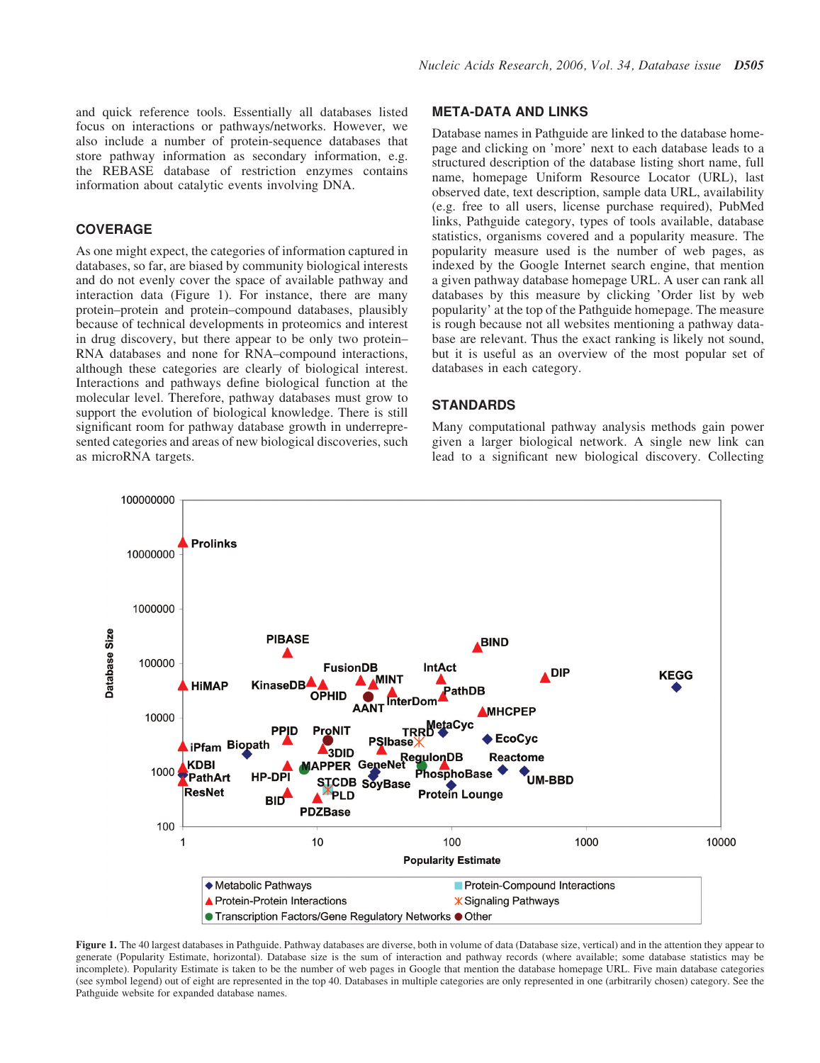and quick reference tools. Essentially all databases listed focus on interactions or pathways/networks. However, we also include a number of protein-sequence databases that store pathway information as secondary information, e.g. the REBASE database of restriction enzymes contains information about catalytic events involving DNA.

#### COVERAGE

As one might expect, the categories of information captured in databases, so far, are biased by community biological interests and do not evenly cover the space of available pathway and interaction data (Figure 1). For instance, there are many protein–protein and protein–compound databases, plausibly because of technical developments in proteomics and interest in drug discovery, but there appear to be only two protein– RNA databases and none for RNA–compound interactions, although these categories are clearly of biological interest. Interactions and pathways define biological function at the molecular level. Therefore, pathway databases must grow to support the evolution of biological knowledge. There is still significant room for pathway database growth in underrepresented categories and areas of new biological discoveries, such as microRNA targets.

#### META-DATA AND LINKS

Database names in Pathguide are linked to the database homepage and clicking on 'more' next to each database leads to a structured description of the database listing short name, full name, homepage Uniform Resource Locator (URL), last observed date, text description, sample data URL, availability (e.g. free to all users, license purchase required), PubMed links, Pathguide category, types of tools available, database statistics, organisms covered and a popularity measure. The popularity measure used is the number of web pages, as indexed by the Google Internet search engine, that mention a given pathway database homepage URL. A user can rank all databases by this measure by clicking 'Order list by web popularity' at the top of the Pathguide homepage. The measure is rough because not all websites mentioning a pathway database are relevant. Thus the exact ranking is likely not sound, but it is useful as an overview of the most popular set of databases in each category.

# **STANDARDS**

Many computational pathway analysis methods gain power given a larger biological network. A single new link can lead to a significant new biological discovery. Collecting



Figure 1. The 40 largest databases in Pathguide. Pathway databases are diverse, both in volume of data (Database size, vertical) and in the attention they appear to generate (Popularity Estimate, horizontal). Database size is the sum of interaction and pathway records (where available; some database statistics may be incomplete). Popularity Estimate is taken to be the number of web pages in Google that mention the database homepage URL. Five main database categories (see symbol legend) out of eight are represented in the top 40. Databases in multiple categories are only represented in one (arbitrarily chosen) category. See the Pathguide website for expanded database names.